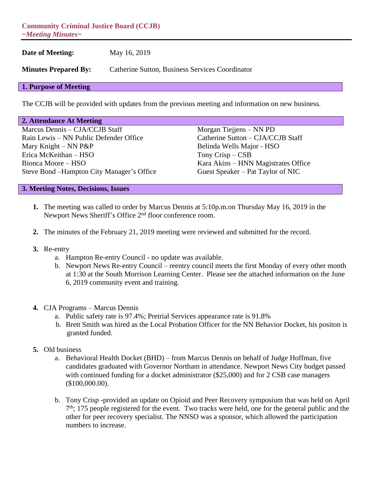**Community Criminal Justice Board (CCJB)** *~Meeting Minutes~*

**Date of Meeting:** May 16, 2019

**Minutes Prepared By:** Catherine Sutton, Business Services Coordinator

## **1. Purpose of Meeting**

The CCJB will be provided with updates from the previous meeting and information on new business.

| 2. Attendance At Meeting |  |
|--------------------------|--|
|--------------------------|--|

Marcus Dennis – CJA/CCJB Staff Morgan Tiejjens – NN PD Rain Lewis – NN Public Defender Office Catherine Sutton – CJA/CCJB Staff Mary Knight – NN P&P Belinda Wells Major - HSO Erica McKeithan – HSO Tony Crisp – CSB Bionca Moore – HSO Kara Akins – HNN Magistrates Office Steve Bond –Hampton City Manager's Office Guest Speaker – Pat Taylor of NIC

## **3. Meeting Notes, Decisions, Issues**

- **1.** The meeting was called to order by Marcus Dennis at 5:10p.m.on Thursday May 16, 2019 in the Newport News Sheriff's Office 2<sup>nd</sup> floor conference room.
- **2.** The minutes of the February 21, 2019 meeting were reviewed and submitted for the record.
- **3.** Re-entry
	- a. Hampton Re-entry Council no update was available.
	- b. Newport News Re-entry Council reentry council meets the first Monday of every other month at 1:30 at the South Morrison Learning Center. Please see the attached information on the June 6, 2019 community event and training.
- **4.** CJA Programs Marcus Dennis
	- a. Public safety rate is 97.4%; Pretrial Services appearance rate is 91.8%
	- b. Brett Smith was hired as the Local Probation Officer for the NN Behavior Docket, his positon is granted funded.
- **5.** Old business
	- a. Behavioral Health Docket (BHD) from Marcus Dennis on behalf of Judge Hoffman, five candidates graduated with Governor Northam in attendance. Newport News City budget passed with continued funding for a docket administrator (\$25,000) and for 2 CSB case managers (\$100,000.00).
	- b. Tony Crisp -provided an update on Opioid and Peer Recovery symposium that was held on April 7<sup>th</sup>; 175 people registered for the event. Two tracks were held, one for the general public and the other for peer recovery specialist. The NNSO was a sponsor, which allowed the participation numbers to increase.